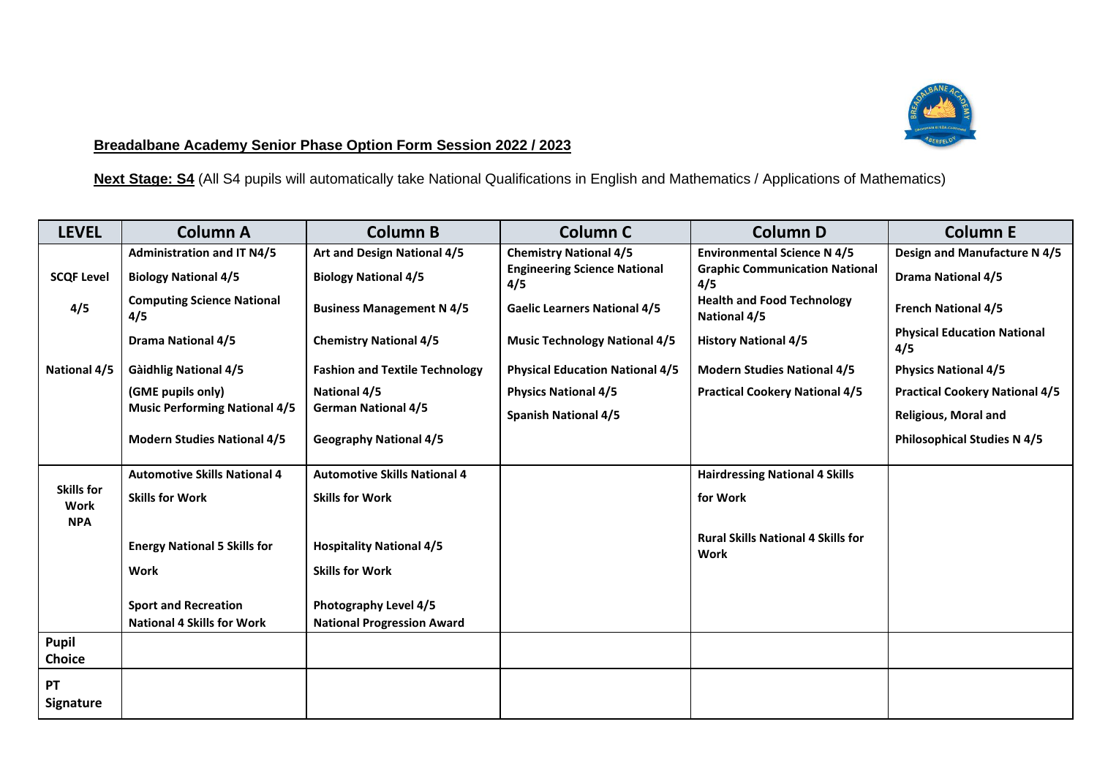

## **Breadalbane Academy Senior Phase Option Form Session 2022 / 2023**

**Next Stage: S4** (All S4 pupils will automatically take National Qualifications in English and Mathematics / Applications of Mathematics)

| <b>LEVEL</b>              | <b>Column A</b>                          | <b>Column B</b>                       | Column <sub>C</sub>                        | <b>Column D</b>                                          | <b>Column E</b>                           |
|---------------------------|------------------------------------------|---------------------------------------|--------------------------------------------|----------------------------------------------------------|-------------------------------------------|
|                           | <b>Administration and IT N4/5</b>        | Art and Design National 4/5           | <b>Chemistry National 4/5</b>              | <b>Environmental Science N 4/5</b>                       | Design and Manufacture N 4/5              |
| <b>SCQF Level</b>         | <b>Biology National 4/5</b>              | <b>Biology National 4/5</b>           | <b>Engineering Science National</b><br>4/5 | <b>Graphic Communication National</b><br>4/5             | <b>Drama National 4/5</b>                 |
| 4/5                       | <b>Computing Science National</b><br>4/5 | <b>Business Management N 4/5</b>      | <b>Gaelic Learners National 4/5</b>        | <b>Health and Food Technology</b><br>National 4/5        | <b>French National 4/5</b>                |
|                           | <b>Drama National 4/5</b>                | <b>Chemistry National 4/5</b>         | <b>Music Technology National 4/5</b>       | <b>History National 4/5</b>                              | <b>Physical Education National</b><br>4/5 |
| National 4/5              | <b>Gàidhlig National 4/5</b>             | <b>Fashion and Textile Technology</b> | <b>Physical Education National 4/5</b>     | <b>Modern Studies National 4/5</b>                       | <b>Physics National 4/5</b>               |
|                           | (GME pupils only)                        | <b>National 4/5</b>                   | <b>Physics National 4/5</b>                | <b>Practical Cookery National 4/5</b>                    | <b>Practical Cookery National 4/5</b>     |
|                           | <b>Music Performing National 4/5</b>     | <b>German National 4/5</b>            | <b>Spanish National 4/5</b>                |                                                          | <b>Religious, Moral and</b>               |
|                           | <b>Modern Studies National 4/5</b>       | <b>Geography National 4/5</b>         |                                            |                                                          | <b>Philosophical Studies N 4/5</b>        |
|                           | <b>Automotive Skills National 4</b>      | <b>Automotive Skills National 4</b>   |                                            | <b>Hairdressing National 4 Skills</b>                    |                                           |
| <b>Skills for</b><br>Work | <b>Skills for Work</b>                   | <b>Skills for Work</b>                |                                            | for Work                                                 |                                           |
| <b>NPA</b>                |                                          |                                       |                                            |                                                          |                                           |
|                           | <b>Energy National 5 Skills for</b>      | <b>Hospitality National 4/5</b>       |                                            | <b>Rural Skills National 4 Skills for</b><br><b>Work</b> |                                           |
|                           | <b>Work</b>                              | <b>Skills for Work</b>                |                                            |                                                          |                                           |
|                           |                                          |                                       |                                            |                                                          |                                           |
|                           | <b>Sport and Recreation</b>              | Photography Level 4/5                 |                                            |                                                          |                                           |
|                           | <b>National 4 Skills for Work</b>        | <b>National Progression Award</b>     |                                            |                                                          |                                           |
| Pupil                     |                                          |                                       |                                            |                                                          |                                           |
| <b>Choice</b>             |                                          |                                       |                                            |                                                          |                                           |
| PT                        |                                          |                                       |                                            |                                                          |                                           |
| <b>Signature</b>          |                                          |                                       |                                            |                                                          |                                           |